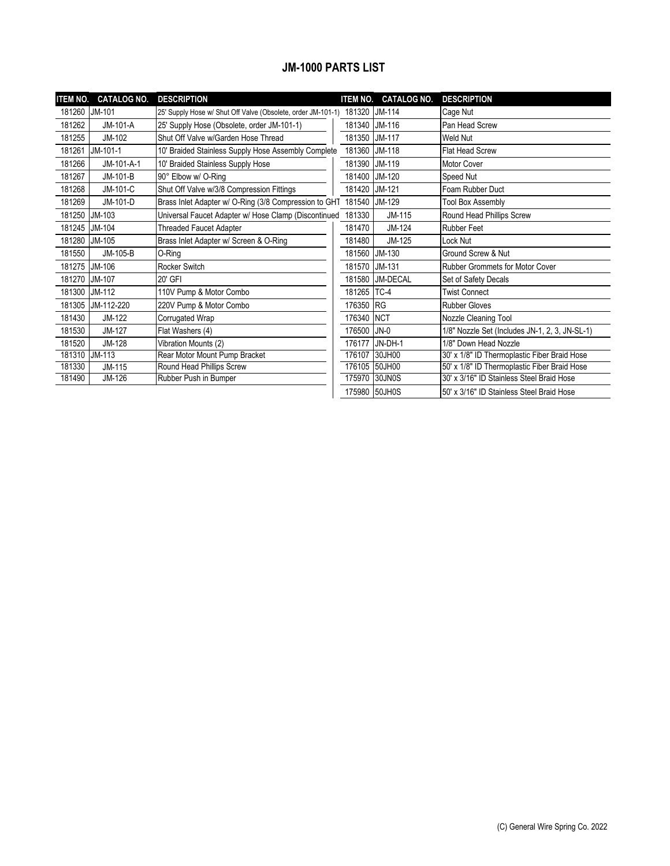## **JM-1000 PARTS LIST**

| <b>ITEM NO.</b> | <b>CATALOG NO.</b> | <b>DESCRIPTION</b>                                                  | <b>ITEM NO.</b> | <b>CATALOG NO.</b> | <b>DESCRIPTION</b>                             |
|-----------------|--------------------|---------------------------------------------------------------------|-----------------|--------------------|------------------------------------------------|
| 181260          | <b>JM-101</b>      | 25' Supply Hose w/ Shut Off Valve (Obsolete, order JM-101-1) 181320 |                 | JM-114             | Cage Nut                                       |
| 181262          | JM-101-A           | 25' Supply Hose (Obsolete, order JM-101-1)                          | 181340          | JM-116             | Pan Head Screw                                 |
| 181255          | JM-102             | Shut Off Valve w/Garden Hose Thread                                 | 181350          | JM-117             | Weld Nut                                       |
| 181261          | JM-101-1           | 10' Braided Stainless Supply Hose Assembly Complete                 | 181360          | JM-118             | Flat Head Screw                                |
| 181266          | JM-101-A-1         | 10' Braided Stainless Supply Hose                                   | 181390          | JM-119             | Motor Cover                                    |
| 181267          | JM-101-B           | 90° Elbow w/ O-Ring                                                 | 181400          | JM-120             | Speed Nut                                      |
| 181268          | JM-101-C           | Shut Off Valve w/3/8 Compression Fittings                           | 181420          | JM-121             | Foam Rubber Duct                               |
| 181269          | JM-101-D           | Brass Inlet Adapter w/ O-Ring (3/8 Compression to GHT               | 181540          | JM-129             | <b>Tool Box Assembly</b>                       |
| 181250          | JM-103             | Universal Faucet Adapter w/ Hose Clamp (Discontinued                | 181330          | JM-115             | Round Head Phillips Screw                      |
| 181245          | JM-104             | <b>Threaded Faucet Adapter</b>                                      | 181470          | JM-124             | <b>Rubber Feet</b>                             |
| 181280          | JM-105             | Brass Inlet Adapter w/ Screen & O-Ring                              | 181480          | JM-125             | Lock Nut                                       |
| 181550          | JM-105-B           | O-Ring                                                              | 181560          | JM-130             | Ground Screw & Nut                             |
| 181275          | JM-106             | Rocker Switch                                                       | 181570          | JM-131             | Rubber Grommets for Motor Cover                |
| 181270          | <b>JM-107</b>      | 20' GFI                                                             | 181580          | JM-DECAL           | Set of Safety Decals                           |
| 181300          | JM-112             | 110V Pump & Motor Combo                                             | 181265          | TC-4               | <b>Twist Connect</b>                           |
| 181305          | JM-112-220         | 220V Pump & Motor Combo                                             | 176350 RG       |                    | <b>Rubber Gloves</b>                           |
| 181430          | JM-122             | Corrugated Wrap                                                     | 176340          | <b>NCT</b>         | Nozzle Cleaning Tool                           |
| 181530          | JM-127             | Flat Washers (4)                                                    | 176500          | $JN-0$             | 1/8" Nozzle Set (Includes JN-1, 2, 3, JN-SL-1) |
| 181520          | JM-128             | Vibration Mounts (2)                                                | 176177          | JN-DH-1            | 1/8" Down Head Nozzle                          |
| 181310          | $JM-113$           | Rear Motor Mount Pump Bracket                                       | 176107          | 30JH00             | 30' x 1/8" ID Thermoplastic Fiber Braid Hose   |
| 181330          | JM-115             | Round Head Phillips Screw                                           | 176105          | 50JH00             | 50' x 1/8" ID Thermoplastic Fiber Braid Hose   |
| 181490          | JM-126             | Rubber Push in Bumper                                               | 175970          | 30JN0S             | 30' x 3/16" ID Stainless Steel Braid Hose      |
|                 |                    |                                                                     | 175980          | 50JH0S             | 150' x 3/16" ID Stainless Steel Braid Hose     |